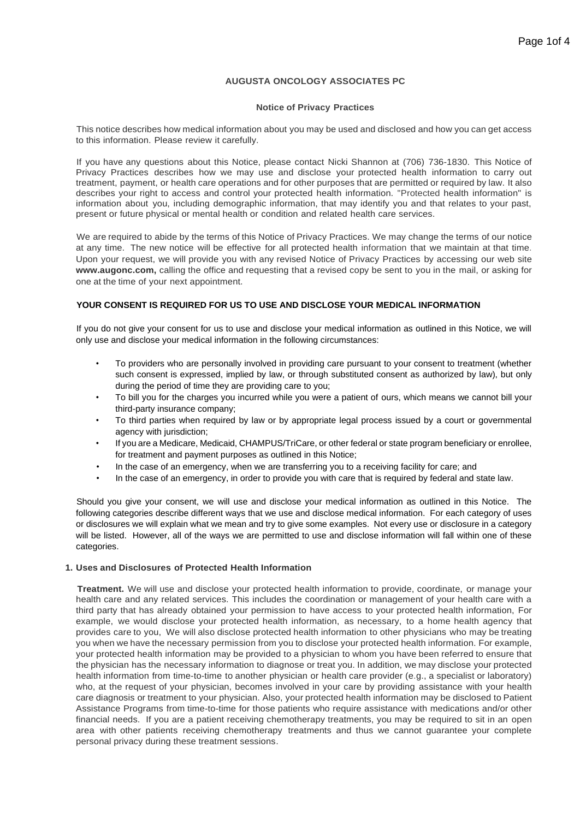## **AUGUSTA ONCOLOGY ASSOCIATES PC**

## **Notice of Privacy Practices**

This notice describes how medical information about you may be used and disclosed and how you can get access to this information. Please review it carefully.

If you have any questions about this Notice, please contact Nicki Shannon at (706) 736-1830. This Notice of Privacy Practices describes how we may use and disclose your protected health information to carry out treatment, payment, or health care operations and for other purposes that are permitted or required by law. It also describes your right to access and control your protected health information. "Protected health information" is information about you, including demographic information, that may identify you and that relates to your past, present or future physical or mental health or condition and related health care services.

We are required to abide by the terms of this Notice of Privacy Practices. We may change the terms of our notice at any time. The new notice will be effective for all protected health information that we maintain at that time. Upon your request, we will provide you with any revised Notice of Privacy Practices by accessing our web site **[www.augonc.com,](http://www.augonc.com/)** calling the office and requesting that a revised copy be sent to you in the mail, or asking for one at the time of your next appointment.

## **YOUR CONSENT IS REQUIRED FOR US TO USE AND DISCLOSE YOUR MEDICAL INFORMATION**

If you do not give your consent for us to use and disclose your medical information as outlined in this Notice, we will only use and disclose your medical information in the following circumstances:

- To providers who are personally involved in providing care pursuant to your consent to treatment (whether such consent is expressed, implied by law, or through substituted consent as authorized by law), but only during the period of time they are providing care to you;
- To bill you for the charges you incurred while you were a patient of ours, which means we cannot bill your third-party insurance company;
- To third parties when required by law or by appropriate legal process issued by a court or governmental agency with jurisdiction;
- If you are a Medicare, Medicaid, CHAMPUS/TriCare, or other federal or state program beneficiary or enrollee, for treatment and payment purposes as outlined in this Notice;
- In the case of an emergency, when we are transferring you to a receiving facility for care; and
- In the case of an emergency, in order to provide you with care that is required by federal and state law.

Should you give your consent, we will use and disclose your medical information as outlined in this Notice. The following categories describe different ways that we use and disclose medical information. For each category of uses or disclosures we will explain what we mean and try to give some examples. Not every use or disclosure in a category will be listed. However, all of the ways we are permitted to use and disclose information will fall within one of these categories.

## **1. Uses and Disclosures of Protected Health Information**

**Treatment.** We will use and disclose your protected health information to provide, coordinate, or manage your health care and any related services. This includes the coordination or management of your health care with a third party that has already obtained your permission to have access to your protected health information, For example, we would disclose your protected health information, as necessary, to a home health agency that provides care to you, We will also disclose protected health information to other physicians who may be treating you when we have the necessary permission from you to disclose your protected health information. For example, your protected health information may be provided to a physician to whom you have been referred to ensure that the physician has the necessary information to diagnose or treat you. In addition, we may disclose your protected health information from time-to-time to another physician or health care provider (e.g., a specialist or laboratory) who, at the request of your physician, becomes involved in your care by providing assistance with your health care diagnosis or treatment to your physician. Also, your protected health information may be disclosed to Patient Assistance Programs from time-to-time for those patients who require assistance with medications and/or other financial needs. If you are a patient receiving chemotherapy treatments, you may be required to sit in an open area with other patients receiving chemotherapy treatments and thus we cannot guarantee your complete personal privacy during these treatment sessions.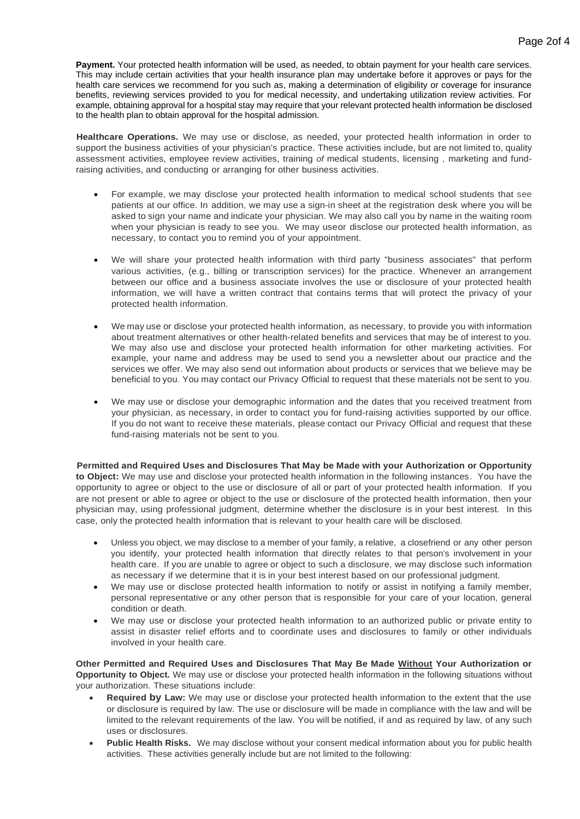**Payment.** Your protected health information will be used, as needed, to obtain payment for your health care services. This may include certain activities that your health insurance plan may undertake before it approves or pays for the health care services we recommend for you such as, making a determination of eligibility or coverage for insurance benefits, reviewing services provided to you for medical necessity, and undertaking utilization review activities. For example, obtaining approval for a hospital stay may require that your relevant protected health information be disclosed to the health plan to obtain approval for the hospital admission.

**Healthcare Operations.** We may use or disclose, as needed, your protected health information in order to support the business activities of your physician's practice. These activities include, but are not limited to, quality assessment activities, employee review activities, training *of* medical students, licensing , marketing and fundraising activities, and conducting or arranging for other business activities.

- For example, we may disclose your protected health information to medical school students that see patients at our office. In addition, we may use a sign-in sheet at the registration desk where you will be asked to sign your name and indicate your physician. We may also call you by name in the waiting room when your physician is ready to see you. We may useor disclose our protected health information, as necessary, to contact you to remind you of your appointment.
- We will share your protected health information with third party "business associates" that perform various activities, (e.g., billing or transcription services) for the practice. Whenever an arrangement between our office and a business associate involves the use or disclosure of your protected health information, we will have a written contract that contains terms that will protect the privacy of your protected health information.
- We may use or disclose your protected health information, as necessary, to provide you with information about treatment alternatives or other health-related benefits and services that may be of interest to you. We may also use and disclose your protected health information for other marketing activities. For example, your name and address may be used to send you a newsletter about our practice and the services we offer. We may also send out information about products or services that we believe may be beneficial to you. You may contact our Privacy Official to request that these materials not be sent to you.
- We may use or disclose your demographic information and the dates that you received treatment from your physician, as necessary, in order to contact you for fund-raising activities supported by our office. If you do not want to receive these materials, please contact our Privacy Official and request that these fund-raising materials not be sent to you.

**Permitted and Required Uses and Disclosures That May be Made with your Authorization or Opportunity to Object:** We may use and disclose your protected health information in the following instances. You have the opportunity to agree or object to the use or disclosure of all or part of your protected health information. If you are not present or able to agree or object to the use or disclosure of the protected health information, then your physician may, using professional judgment, determine whether the disclosure is in your best interest. In this case, only the protected health information that is relevant to your health care will be disclosed.

- Unless you object, we may disclose to a member of your family, a relative, a closefriend or any other person you identify, your protected health information that directly relates to that person's involvement in your health care. If you are unable to agree or object to such a disclosure, we may disclose such information as necessary if we determine that it is in your best interest based on our professional judgment.
- We may use or disclose protected health information to notify or assist in notifying a family member, personal representative or any other person that is responsible for your care of your location, general condition or death.
- We may use or disclose your protected health information to an authorized public or private entity to assist in disaster relief efforts and to coordinate uses and disclosures to family or other individuals involved in your health care.

**Other Permitted and Required Uses and Disclosures That May Be Made Without Your Authorization or Opportunity to Object.** We may use or disclose your protected health information in the following situations without your authorization. These situations include:

- **Required by Law:** We may use or disclose your protected health information to the extent that the use or disclosure is required by law. The use or disclosure will be made in compliance with the law and will be limited to the relevant requirements of the law. You will be notified, if and as required by law, of any such uses or disclosures.
- **Public Health Risks.** We may disclose without your consent medical information about you for public health activities. These activities generally include but are not limited to the following: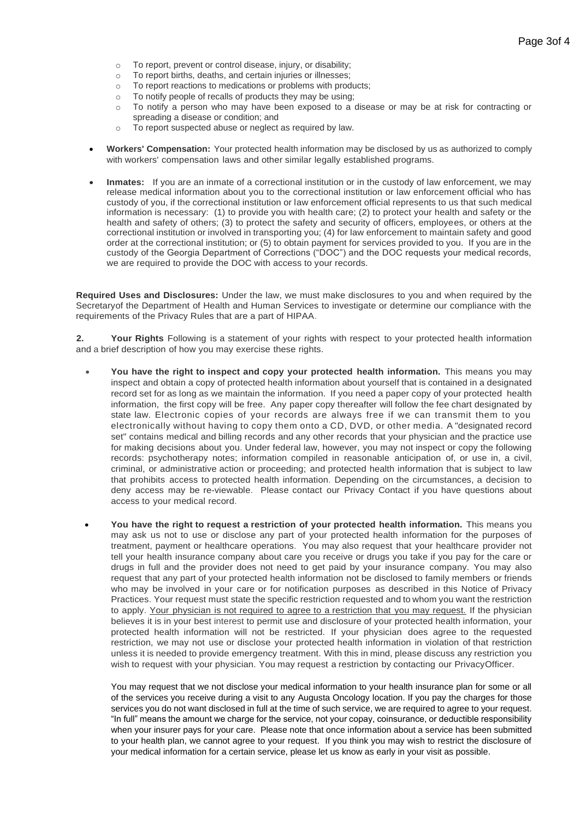- o To report, prevent or control disease, injury, or disability;
- o To report births, deaths, and certain injuries or illnesses;
- o To report reactions to medications or problems with products;
- o To notify people of recalls of products they may be using;
- o To notify a person who may have been exposed to a disease or may be at risk for contracting or spreading a disease or condition; and
- o To report suspected abuse or neglect as required by law.
- **Workers' Compensation:** Your protected health information may be disclosed by us as authorized to comply with workers' compensation laws and other similar legally established programs.
- **Inmates:** If you are an inmate of a correctional institution or in the custody of law enforcement, we may release medical information about you to the correctional institution or law enforcement official who has custody of you, if the correctional institution or law enforcement official represents to us that such medical information is necessary: (1) to provide you with health care; (2) to protect your health and safety or the health and safety of others; (3) to protect the safety and security of officers, employees, or others at the correctional institution or involved in transporting you; (4) for law enforcement to maintain safety and good order at the correctional institution; or (5) to obtain payment for services provided to you. If you are in the custody of the Georgia Department of Corrections ("DOC") and the DOC requests your medical records, we are required to provide the DOC with access to your records.

**Required Uses and Disclosures:** Under the law, we must make disclosures to you and when required by the Secretaryof the Department of Health and Human Services to investigate or determine our compliance with the requirements of the Privacy Rules that are a part of HIPAA.

**2. Your Rights** Following is a statement of your rights with respect to your protected health information and a brief description of how you may exercise these rights.

- **You have the right to inspect and copy your protected health information.** This means you may inspect and obtain a copy of protected health information about yourself that is contained in a designated record set for as long as we maintain the information. If you need a paper copy of your protected health information, the first copy will be free. Any paper copy thereafter will follow the fee chart designated by state law. Electronic copies of your records are always free if we can transmit them to you electronically without having to copy them onto a CD, DVD, or other media. A "designated record set" contains medical and billing records and any other records that your physician and the practice use for making decisions about you. Under federal law, however, you may not inspect or copy the following records: psychotherapy notes; information compiled in reasonable anticipation of, or use in, a civil, criminal, or administrative action or proceeding; and protected health information that is subject to law that prohibits access to protected health information. Depending on the circumstances, a decision to deny access may be re-viewable. Please contact our Privacy Contact if you have questions about access to your medical record.
- **You have the right to request a restriction of your protected health information.** This means you may ask us not to use or disclose any part of your protected health information for the purposes of treatment, payment or healthcare operations. You may also request that your healthcare provider not tell your health insurance company about care you receive or drugs you take if you pay for the care or drugs in full and the provider does not need to get paid by your insurance company. You may also request that any part of your protected health information not be disclosed to family members or friends who may be involved in your care or for notification purposes as described in this Notice of Privacy Practices. Your request must state the specific restriction requested and to whom you want the restriction to apply. Your physician is not required to agree to a restriction that you may request. If the physician believes it is in your best interest to permit use and disclosure of your protected health information, your protected health information will not be restricted. If your physician does agree to the requested restriction, we may not use or disclose your protected health information in violation of that restriction unless it is needed to provide emergency treatment. With this in mind, please discuss any restriction you wish to request with your physician. You may request a restriction by contacting our PrivacyOfficer.

You may request that we not disclose your medical information to your health insurance plan for some or all of the services you receive during a visit to any Augusta Oncology location. If you pay the charges for those services you do not want disclosed in full at the time of such service, we are required to agree to your request. "In full" means the amount we charge for the service, not your copay, coinsurance, or deductible responsibility when your insurer pays for your care. Please note that once information about a service has been submitted to your health plan, we cannot agree to your request. If you think you may wish to restrict the disclosure of your medical information for a certain service, please let us know as early in your visit as possible.